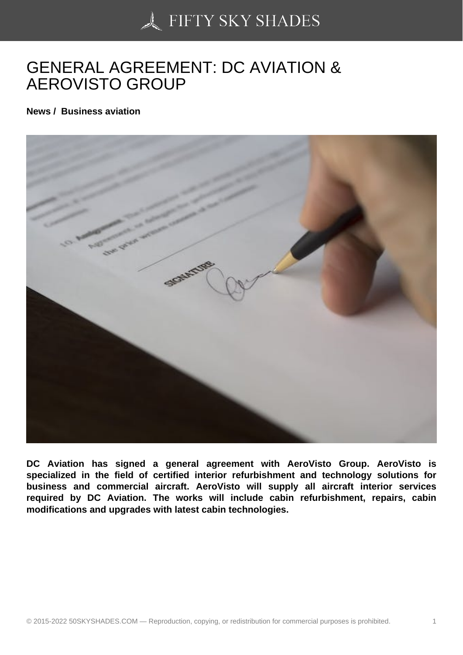## [GENERAL AGREEME](https://50skyshades.com)NT: DC AVIATION & AEROVISTO GROUP

News / Business aviation

DC Aviation has signed a general agreement with AeroVisto Group. AeroVisto is specialized in the field of certified interior refurbishment and technology solutions for business and commercial aircraft. AeroVisto will supply all aircraft interior services required by DC Aviation. The works will include cabin refurbishment, repairs, cabin modifications and upgrades with latest cabin technologies.